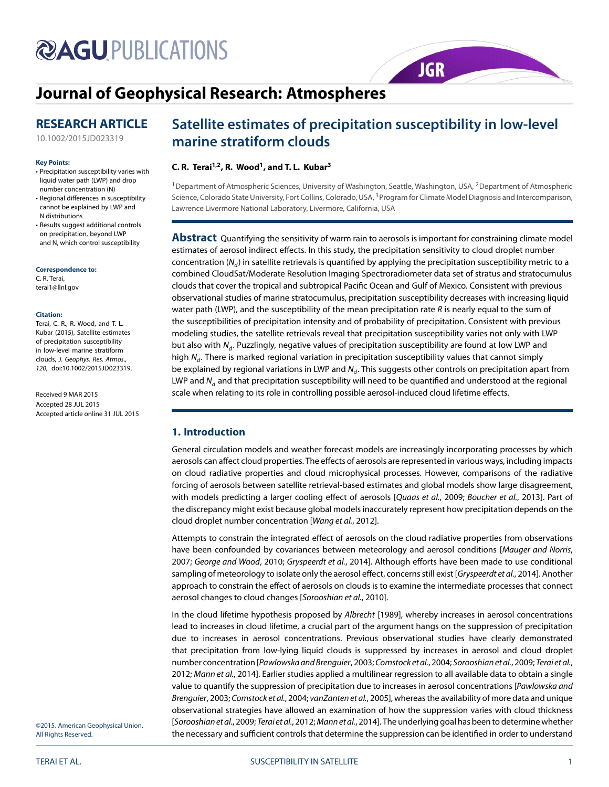# **@AGU PUBLICATIONS**

# **[Journal of Geophysical Research: Atmospheres](http://onlinelibrary.wiley.com/journal/10.1002/(ISSN)2169-8996)**

# **RESEARCH ARTICLE**

[10.1002/2015JD023319](http://dx.doi.org/10.1002/2015JD023319)

#### **Key Points:**

- Precipitation susceptibility varies with liquid water path (LWP) and drop number concentration (N)
- Regional differences in susceptibility cannot be explained by LWP and N distributions
- Results suggest additional controls on precipitation, beyond LWP and N, which control susceptibility

**Correspondence to:**

C. R. Terai, terai1@llnl.gov

#### **Citation:**

Terai, C. R., R. Wood, and T. L. Kubar (2015), Satellite estimates of precipitation susceptibility in low-level marine stratiform clouds, J. Geophys. Res. Atmos., 120, doi:10.1002/2015JD023319.

Received 9 MAR 2015 Accepted 28 JUL 2015 Accepted article online 31 JUL 2015

# **Satellite estimates of precipitation susceptibility in low-level marine stratiform clouds**

**JGR** 

### **C. R. Terai1,2, R. Wood1, and T. L. Kubar3**

<sup>1</sup>Department of Atmospheric Sciences, University of Washington, Seattle, Washington, USA, <sup>2</sup>Department of Atmospheric Science, Colorado State University, Fort Collins, Colorado, USA, <sup>3</sup> Program for Climate Model Diagnosis and Intercomparison, Lawrence Livermore National Laboratory, Livermore, California, USA

**Abstract** Quantifying the sensitivity of warm rain to aerosols is important for constraining climate model estimates of aerosol indirect effects. In this study, the precipitation sensitivity to cloud droplet number concentration ( $N_d$ ) in satellite retrievals is quantified by applying the precipitation susceptibility metric to a combined CloudSat/Moderate Resolution Imaging Spectroradiometer data set of stratus and stratocumulus clouds that cover the tropical and subtropical Pacific Ocean and Gulf of Mexico. Consistent with previous observational studies of marine stratocumulus, precipitation susceptibility decreases with increasing liquid water path (LWP), and the susceptibility of the mean precipitation rate  $R$  is nearly equal to the sum of the susceptibilities of precipitation intensity and of probability of precipitation. Consistent with previous modeling studies, the satellite retrievals reveal that precipitation susceptibility varies not only with LWP but also with  $N_d$ . Puzzlingly, negative values of precipitation susceptibility are found at low LWP and high  $N_d$ . There is marked regional variation in precipitation susceptibility values that cannot simply be explained by regional variations in LWP and  $N_d$ . This suggests other controls on precipitation apart from LWP and  $N_d$  and that precipitation susceptibility will need to be quantified and understood at the regional scale when relating to its role in controlling possible aerosol-induced cloud lifetime effects.

## **1. Introduction**

General circulation models and weather forecast models are increasingly incorporating processes by which aerosols can affect cloud properties. The effects of aerosols are represented in various ways, including impacts on cloud radiative properties and cloud microphysical processes. However, comparisons of the radiative forcing of aerosols between satellite retrieval-based estimates and global models show large disagreement, with models predicting a larger cooling effect of aerosols [Quaas et al., [2009;](#page-11-0) Boucher et al., [2013\]](#page-10-0). Part of the discrepancy might exist because global models inaccurately represent how precipitation depends on the cloud droplet number concentration [Wang et al., [2012\]](#page-11-1).

Attempts to constrain the integrated effect of aerosols on the cloud radiative properties from observations have been confounded by covariances between meteorology and aerosol conditions [Mauger and Norris, [2007;](#page-11-2) George and Wood, [2010;](#page-10-1) Gryspeerdt et al., [2014\]](#page-10-2). Although efforts have been made to use conditional sampling of meteorology to isolate only the aerosol effect, concerns still exist [Gryspeerdt et al., [2014\]](#page-10-2). Another approach to constrain the effect of aerosols on clouds is to examine the intermediate processes that connect aerosol changes to cloud changes [Sorooshian et al., [2010\]](#page-11-3).

In the cloud lifetime hypothesis proposed by Albrecht [\[1989\]](#page-10-3), whereby increases in aerosol concentrations lead to increases in cloud lifetime, a crucial part of the argument hangs on the suppression of precipitation due to increases in aerosol concentrations. Previous observational studies have clearly demonstrated that precipitation from low-lying liquid clouds is suppressed by increases in aerosol and cloud droplet number concentration [Pawlowska and Brenguier, [2003;](#page-11-4) Comstock et al., [2004;](#page-10-4) Sorooshian et al., [2009;](#page-11-5) Terai et al., [2012;](#page-11-6) Mann et al., [2014\]](#page-11-7). Earlier studies applied a multilinear regression to all available data to obtain a single value to quantify the suppression of precipitation due to increases in aerosol concentrations [Pawlowska and Brenguier, [2003;](#page-11-4) Comstock et al., [2004;](#page-10-4) vanZanten et al., [2005\]](#page-11-8), whereas the availability of more data and unique observational strategies have allowed an examination of how the suppression varies with cloud thickness [Sorooshian et al., [2009;](#page-11-5) Terai et al., [2012;](#page-11-6) Mann et al., [2014\]](#page-11-7). The underlying goal has been to determine whether the necessary and sufficient controls that determine the suppression can be identified in order to understand

©2015. American Geophysical Union. All Rights Reserved.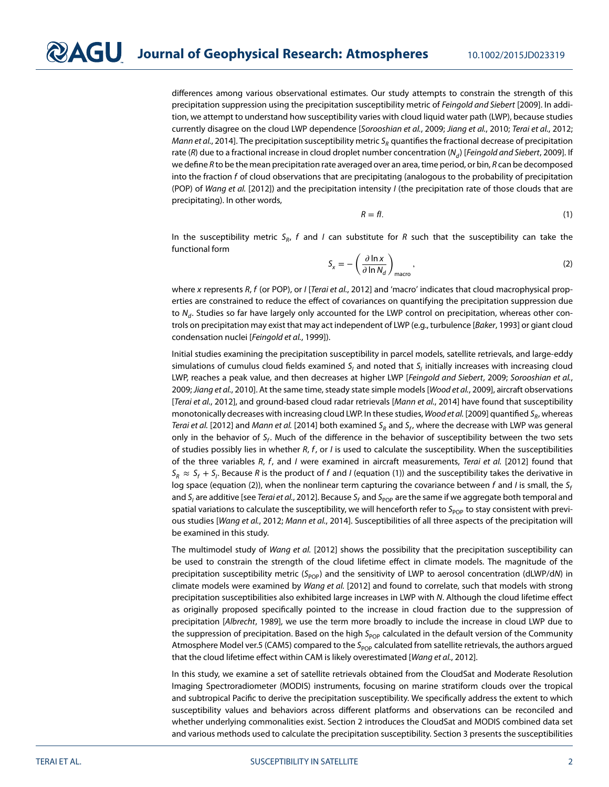differences among various observational estimates. Our study attempts to constrain the strength of this precipitation suppression using the precipitation susceptibility metric of Feingold and Siebert [\[2009\]](#page-10-5). In addition, we attempt to understand how susceptibility varies with cloud liquid water path (LWP), because studies currently disagree on the cloud LWP dependence [Sorooshian et al., [2009;](#page-11-5) Jiang et al., [2010;](#page-11-9) Terai et al., [2012;](#page-11-6) Mann et al., [2014\]](#page-11-7). The precipitation susceptibility metric  $S_R$  quantifies the fractional decrease of precipitation rate (R) due to a fractional increase in cloud droplet number concentration ( $N_d$ ) [Feingold and Siebert, [2009\]](#page-10-5). If we define R to be the mean precipitation rate averaged over an area, time period, or bin, R can be decomposed into the fraction f of cloud observations that are precipitating (analogous to the probability of precipitation (POP) of Wang et al. [\[2012\]](#page-11-1)) and the precipitation intensity I (the precipitation rate of those clouds that are precipitating). In other words,

<span id="page-1-0"></span>
$$
R = fl. \tag{1}
$$

In the susceptibility metric  $S_R$ , f and I can substitute for R such that the susceptibility can take the functional form

<span id="page-1-1"></span>
$$
S_x = -\left(\frac{\partial \ln x}{\partial \ln N_d}\right)_{\text{macro}},
$$
\n(2)

where x represents R, f (or POP), or  $I$  [Terai et al., [2012\]](#page-11-6) and 'macro' indicates that cloud macrophysical properties are constrained to reduce the effect of covariances on quantifying the precipitation suppression due to  $N_d$ . Studies so far have largely only accounted for the LWP control on precipitation, whereas other con-trols on precipitation may exist that may act independent of LWP (e.g., turbulence [Baker, [1993\]](#page-10-6) or giant cloud condensation nuclei [Feingold et al., [1999\]](#page-10-7)).

Initial studies examining the precipitation susceptibility in parcel models, satellite retrievals, and large-eddy simulations of cumulus cloud fields examined  $S_l$  and noted that  $S_l$  initially increases with increasing cloud LWP, reaches a peak value, and then decreases at higher LWP [Feingold and Siebert, [2009;](#page-10-5) Sorooshian et al., [2009;](#page-11-5) Jiang et al., [2010\]](#page-11-9). At the same time, steady state simple models [Wood et al., [2009\]](#page-11-10), aircraft observations [Terai et al., [2012\]](#page-11-6), and ground-based cloud radar retrievals [Mann et al., [2014\]](#page-11-7) have found that susceptibility monotonically decreases with increasing cloud LWP. In these studies, Wood et al. [\[2009\]](#page-11-10) quantified S<sub>R</sub>, whereas Terai et al. [\[2012\]](#page-11-6) and Mann et al. [\[2014\]](#page-11-7) both examined S<sub>R</sub> and S<sub>f</sub>, where the decrease with LWP was general only in the behavior of  $S_f$ . Much of the difference in the behavior of susceptibility between the two sets of studies possibly lies in whether  $R$ ,  $f$ , or  $I$  is used to calculate the susceptibility. When the susceptibilities of the three variables R, f, and I were examined in aircraft measurements, Terai et al. [\[2012\]](#page-11-6) found that  $S_R \approx S_f + S_l$ . Because R is the product of f and I (equation [\(1\)](#page-1-0)) and the susceptibility takes the derivative in log space (equation [\(2\)](#page-1-1)), when the nonlinear term capturing the covariance between f and I is small, the  $S_f$ and S<sub>I</sub> are additive [see Terai et al., [2012\]](#page-11-6). Because S<sub>f</sub> and S<sub>POP</sub> are the same if we aggregate both temporal and spatial variations to calculate the susceptibility, we will henceforth refer to  $S_{POP}$  to stay consistent with previ-ous studies [Wang et al., [2012;](#page-11-1) Mann et al., [2014\]](#page-11-7). Susceptibilities of all three aspects of the precipitation will be examined in this study.

The multimodel study of Wang et al. [\[2012\]](#page-11-1) shows the possibility that the precipitation susceptibility can be used to constrain the strength of the cloud lifetime effect in climate models. The magnitude of the precipitation susceptibility metric ( $S_{pop}$ ) and the sensitivity of LWP to aerosol concentration (dLWP/dN) in climate models were examined by Wang et al. [\[2012\]](#page-11-1) and found to correlate, such that models with strong precipitation susceptibilities also exhibited large increases in LWP with N. Although the cloud lifetime effect as originally proposed specifically pointed to the increase in cloud fraction due to the suppression of precipitation [Albrecht, [1989\]](#page-10-3), we use the term more broadly to include the increase in cloud LWP due to the suppression of precipitation. Based on the high  $S_{pop}$  calculated in the default version of the Community Atmosphere Model ver.5 (CAM5) compared to the S<sub>POP</sub> calculated from satellite retrievals, the authors argued that the cloud lifetime effect within CAM is likely overestimated [Wang et al., [2012\]](#page-11-1).

In this study, we examine a set of satellite retrievals obtained from the CloudSat and Moderate Resolution Imaging Spectroradiometer (MODIS) instruments, focusing on marine stratiform clouds over the tropical and subtropical Pacific to derive the precipitation susceptibility. We specifically address the extent to which susceptibility values and behaviors across different platforms and observations can be reconciled and whether underlying commonalities exist. Section 2 introduces the CloudSat and MODIS combined data set and various methods used to calculate the precipitation susceptibility. Section 3 presents the susceptibilities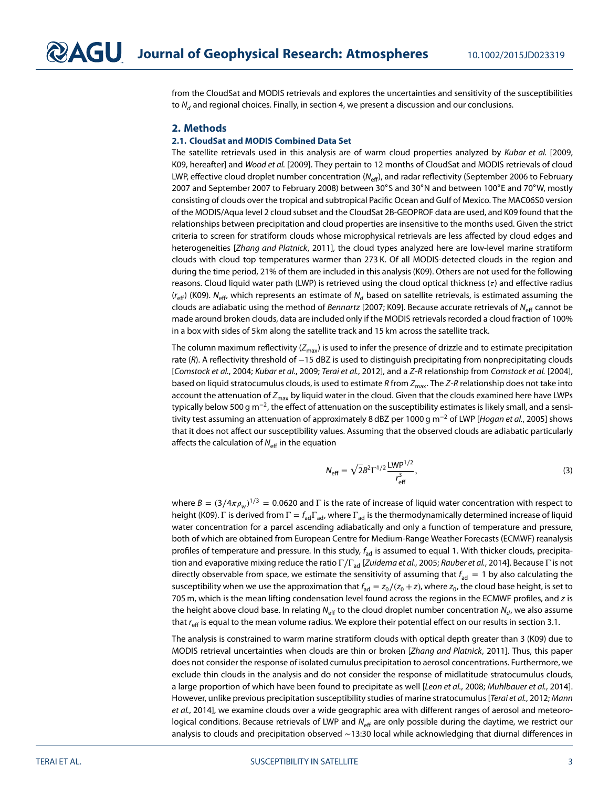from the CloudSat and MODIS retrievals and explores the uncertainties and sensitivity of the susceptibilities to  $N_d$  and regional choices. Finally, in section 4, we present a discussion and our conclusions.

#### **2. Methods**

#### **2.1. CloudSat and MODIS Combined Data Set**

The satellite retrievals used in this analysis are of warm cloud properties analyzed by Kubar et al. [\[2009,](#page-11-11) K09, hereafter] and Wood et al. [\[2009\]](#page-11-10). They pertain to 12 months of CloudSat and MODIS retrievals of cloud LWP, effective cloud droplet number concentration ( $N_{\text{eff}}$ ), and radar reflectivity (September 2006 to February 2007 and September 2007 to February 2008) between 30∘S and 30∘N and between 100∘E and 70∘W, mostly consisting of clouds over the tropical and subtropical Pacific Ocean and Gulf of Mexico. The MAC06S0 version of the MODIS/Aqua level 2 cloud subset and the CloudSat 2B-GEOPROF data are used, and K09 found that the relationships between precipitation and cloud properties are insensitive to the months used. Given the strict criteria to screen for stratiform clouds whose microphysical retrievals are less affected by cloud edges and heterogeneities [Zhang and Platnick, [2011\]](#page-11-12), the cloud types analyzed here are low-level marine stratiform clouds with cloud top temperatures warmer than 273 K. Of all MODIS-detected clouds in the region and during the time period, 21% of them are included in this analysis (K09). Others are not used for the following reasons. Cloud liquid water path (LWP) is retrieved using the cloud optical thickness  $(\tau)$  and effective radius  $(r_{\text{eff}})$  (K09). N<sub>eff</sub>, which represents an estimate of N<sub>d</sub> based on satellite retrievals, is estimated assuming the clouds are adiabatic using the method of Bennartz [\[2007;](#page-10-8) K09]. Because accurate retrievals of  $N_{\text{eff}}$  cannot be made around broken clouds, data are included only if the MODIS retrievals recorded a cloud fraction of 100% in a box with sides of 5km along the satellite track and 15 km across the satellite track.

The column maximum reflectivity  $(Z_{\text{max}})$  is used to infer the presence of drizzle and to estimate precipitation rate (R). A reflectivity threshold of −15 dBZ is used to distinguish precipitating from nonprecipitating clouds [Comstock et al., [2004;](#page-10-4) Kubar et al., [2009;](#page-11-11) Terai et al., [2012\]](#page-11-6), and a Z-R relationship from Comstock et al. [\[2004\]](#page-10-4), based on liquid stratocumulus clouds, is used to estimate R from  $Z_{\text{max}}$ . The Z-R relationship does not take into account the attenuation of  $Z_{\text{max}}$  by liquid water in the cloud. Given that the clouds examined here have LWPs typically below 500 g m<sup>-2</sup>, the effect of attenuation on the susceptibility estimates is likely small, and a sensi-tivity test assuming an attenuation of approximately 8 dBZ per 1000 g m<sup>-2</sup> of LWP [Hogan et al., [2005\]](#page-11-13) shows that it does not affect our susceptibility values. Assuming that the observed clouds are adiabatic particularly affects the calculation of  $N_{\text{eff}}$  in the equation

$$
N_{\text{eff}} = \sqrt{2}B^2 \Gamma^{1/2} \frac{\text{LWP}^{1/2}}{r_{\text{eff}}^3},\tag{3}
$$

where  $B=(3/4\pi\rho_w)^{1/3}=0.0620$  and  $\Gamma$  is the rate of increase of liquid water concentration with respect to height (K09). Γ is derived from  $\Gamma = f_{ad} \Gamma_{ad}$ , where  $\Gamma_{ad}$  is the thermodynamically determined increase of liquid water concentration for a parcel ascending adiabatically and only a function of temperature and pressure, both of which are obtained from European Centre for Medium-Range Weather Forecasts (ECMWF) reanalysis profiles of temperature and pressure. In this study,  $f_{ad}$  is assumed to equal 1. With thicker clouds, precipita-tion and evaporative mixing reduce the ratio Γ/Γ<sub>ad</sub> [Zuidema et al., [2005;](#page-11-14) Rauber et al., [2014\]](#page-11-15). Because Γ is not directly observable from space, we estimate the sensitivity of assuming that  $f_{ad} = 1$  by also calculating the susceptibility when we use the approximation that  $f_{ad} = z_0/(z_0 + z)$ , where  $z_0$ , the cloud base height, is set to 705 m, which is the mean lifting condensation level found across the regions in the ECMWF profiles, and z is the height above cloud base. In relating  $N_{\text{eff}}$  to the cloud droplet number concentration  $N_{\text{d}}$ , we also assume that  $r_{\text{eff}}$  is equal to the mean volume radius. We explore their potential effect on our results in section 3.1.

The analysis is constrained to warm marine stratiform clouds with optical depth greater than 3 (K09) due to MODIS retrieval uncertainties when clouds are thin or broken [Zhang and Platnick, [2011\]](#page-11-12). Thus, this paper does not consider the response of isolated cumulus precipitation to aerosol concentrations. Furthermore, we exclude thin clouds in the analysis and do not consider the response of midlatitude stratocumulus clouds, a large proportion of which have been found to precipitate as well [Leon et al., [2008;](#page-11-16) Muhlbauer et al., [2014\]](#page-11-17). However, unlike previous precipitation susceptibility studies of marine stratocumulus [Terai et al., [2012;](#page-11-6) Mann et al., [2014\]](#page-11-7), we examine clouds over a wide geographic area with different ranges of aerosol and meteorological conditions. Because retrievals of LWP and  $N_{\text{eff}}$  are only possible during the daytime, we restrict our analysis to clouds and precipitation observed ∼13:30 local while acknowledging that diurnal differences in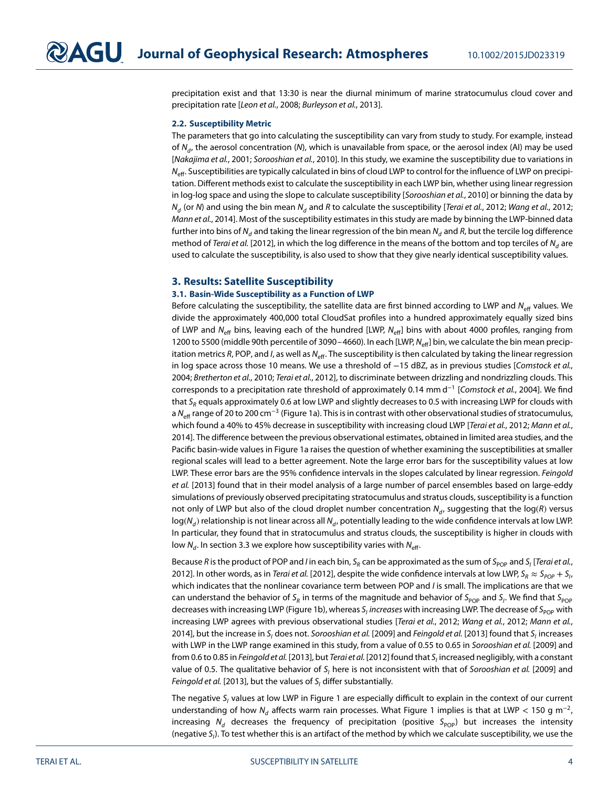precipitation exist and that 13:30 is near the diurnal minimum of marine stratocumulus cloud cover and precipitation rate [Leon et al., [2008;](#page-11-16) Burleyson et al., [2013\]](#page-10-9).

#### **2.2. Susceptibility Metric**

The parameters that go into calculating the susceptibility can vary from study to study. For example, instead of  $N_d$ , the aerosol concentration (N), which is unavailable from space, or the aerosol index (AI) may be used [Nakajima et al., [2001;](#page-11-18) Sorooshian et al., [2010\]](#page-11-3). In this study, we examine the susceptibility due to variations in  $N_{\text{eff}}$ . Susceptibilities are typically calculated in bins of cloud LWP to control for the influence of LWP on precipitation. Different methods exist to calculate the susceptibility in each LWP bin, whether using linear regression in log-log space and using the slope to calculate susceptibility [Sorooshian et al., [2010\]](#page-11-3) or binning the data by  $N_d$  (or N) and using the bin mean  $N_d$  and R to calculate the susceptibility [Terai et al., [2012;](#page-11-1) Wang et al., 2012; Mann et al., [2014\]](#page-11-7). Most of the susceptibility estimates in this study are made by binning the LWP-binned data further into bins of N<sub>d</sub> and taking the linear regression of the bin mean N<sub>d</sub> and R, but the tercile log difference method of Terai et al. [\[2012\]](#page-11-6), in which the log difference in the means of the bottom and top terciles of N<sub>d</sub> are used to calculate the susceptibility, is also used to show that they give nearly identical susceptibility values.

#### **3. Results: Satellite Susceptibility**

#### **3.1. Basin-Wide Susceptibility as a Function of LWP**

Before calculating the susceptibility, the satellite data are first binned according to LWP and  $N_{\text{eff}}$  values. We divide the approximately 400,000 total CloudSat profiles into a hundred approximately equally sized bins of LWP and N<sub>eff</sub> bins, leaving each of the hundred [LWP, N<sub>eff</sub>] bins with about 4000 profiles, ranging from 1200 to 5500 (middle 90th percentile of 3090–4660). In each [LWP, N<sub>eff</sub>] bin, we calculate the bin mean precipitation metrics R, POP, and I, as well as  $N_{\text{eff}}$ . The susceptibility is then calculated by taking the linear regression in log space across those 10 means. We use a threshold of −15 dBZ, as in previous studies [Comstock et al., [2004;](#page-10-4) Bretherton et al., [2010;](#page-10-10) Terai et al., [2012\]](#page-11-6), to discriminate between drizzling and nondrizzling clouds. This corresponds to a precipitation rate threshold of approximately 0.14 mm d<sup>-1</sup> [Comstock et al., [2004\]](#page-10-4). We find that  $S_R$  equals approximately 0.6 at low LWP and slightly decreases to 0.5 with increasing LWP for clouds with a N<sub>eff</sub> range of 20 to 200 cm<sup>-3</sup> (Figure [1a](#page-4-0)). This is in contrast with other observational studies of stratocumulus, which found a 40% to 45% decrease in susceptibility with increasing cloud LWP [Terai et al., [2012;](#page-11-6) Mann et al., [2014\]](#page-11-7). The difference between the previous observational estimates, obtained in limited area studies, and the Pacific basin-wide values in Figure [1a](#page-4-0) raises the question of whether examining the susceptibilities at smaller regional scales will lead to a better agreement. Note the large error bars for the susceptibility values at low LWP. These error bars are the 95% confidence intervals in the slopes calculated by linear regression. Feingold et al. [\[2013\]](#page-10-11) found that in their model analysis of a large number of parcel ensembles based on large-eddy simulations of previously observed precipitating stratocumulus and stratus clouds, susceptibility is a function not only of LWP but also of the cloud droplet number concentration  $N_d$ , suggesting that the log(R) versus  $log(N_d)$  relationship is not linear across all  $N_d$ , potentially leading to the wide confidence intervals at low LWP. In particular, they found that in stratocumulus and stratus clouds, the susceptibility is higher in clouds with low  $N_d$ . In section 3.3 we explore how susceptibility varies with  $N_{\text{eff}}$ .

Because R is the product of POP and I in each bin,  $S_R$  can be approximated as the sum of  $S_{POP}$  and  $S_I$  [Terai et al., [2012\]](#page-11-6). In other words, as in *Terai et al*. [\[2012\]](#page-11-6), despite the wide confidence intervals at low LWP, S $_R\approx S_{pop}+S_{I}$ , which indicates that the nonlinear covariance term between POP and I is small. The implications are that we can understand the behavior of S<sub>R</sub> in terms of the magnitude and behavior of S<sub>POP</sub> and S<sub>I</sub>. We find that S<sub>POP</sub> decreases with increasing LWP (Figure [1b](#page-4-0)), whereas S<sub>i</sub> increases with increasing LWP. The decrease of S<sub>POP</sub> with increasing LWP agrees with previous observational studies [Terai et al., [2012;](#page-11-1) Wang et al., 2012; Mann et al., [2014\]](#page-11-7), but the increase in S<sub>I</sub> does not. Sorooshian et al. [\[2009\]](#page-11-5) and Feingold et al. [\[2013\]](#page-10-11) found that S<sub>I</sub> increases with LWP in the LWP range examined in this study, from a value of 0.55 to 0.65 in Sorooshian et al. [\[2009\]](#page-11-5) and from 0.6 to 0.85 in Feingold et al. [\[2013\]](#page-10-11), but Terai et al. [\[2012\]](#page-11-6) found that  $S_i$  increased negligibly, with a constant value of 0.5. The qualitative behavior of  $S<sub>1</sub>$  here is not inconsistent with that of Sorooshian et al. [\[2009\]](#page-11-5) and Feingold et al. [\[2013\]](#page-10-11), but the values of  $S<sub>l</sub>$  differ substantially.

The negative  $S_i$  values at low LWP in Figure [1](#page-4-0) are especially difficult to explain in the context of our current understanding of how N<sub>d</sub> affects warm rain processes. What Figure [1](#page-4-0) implies is that at LWP < 150 g m<sup>-2</sup>, increasing  $N_d$  decreases the frequency of precipitation (positive S<sub>POP</sub>) but increases the intensity (negative S<sub>I</sub>). To test whether this is an artifact of the method by which we calculate susceptibility, we use the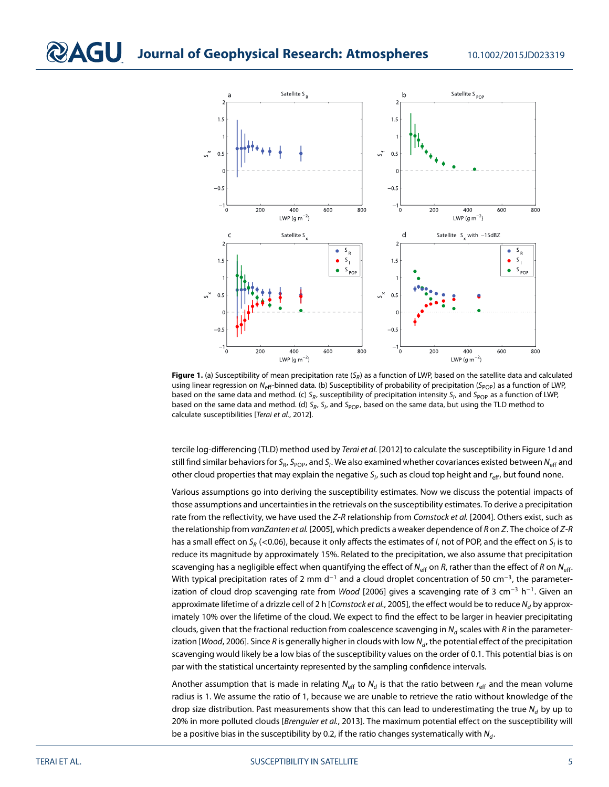

<span id="page-4-0"></span>**Figure 1.** (a) Susceptibility of mean precipitation rate (S<sub>R</sub>) as a function of LWP, based on the satellite data and calculated using linear regression on N<sub>eff</sub>-binned data. (b) Susceptibility of probability of precipitation (S<sub>POP</sub>) as a function of LWP, based on the same data and method. (c)  $S_R$ , susceptibility of precipitation intensity  $S_l$ , and  $S_{POP}$  as a function of LWP, based on the same data and method. (d)  $S_R$ ,  $S_I$ , and  $S_{POP}$ , based on the same data, but using the TLD method to calculate susceptibilities [Terai et al., [2012\]](#page-11-6).

tercile log-differencing (TLD) method used by Terai et al. [\[2012\]](#page-11-6) to calculate the susceptibility in Figure [1d](#page-4-0) and still find similar behaviors for S<sub>R</sub>, S<sub>POP</sub>, and S<sub>I</sub>. We also examined whether covariances existed between N<sub>eff</sub> and other cloud properties that may explain the negative  $S_i$ , such as cloud top height and  $r_{\text{eff}}$ , but found none.

Various assumptions go into deriving the susceptibility estimates. Now we discuss the potential impacts of those assumptions and uncertainties in the retrievals on the susceptibility estimates. To derive a precipitation rate from the reflectivity, we have used the Z-R relationship from Comstock et al. [\[2004\]](#page-10-4). Others exist, such as the relationship from vanZanten et al. [\[2005\]](#page-11-8), which predicts a weaker dependence of R on Z. The choice of Z-R has a small effect on S<sub>R</sub> (<0.06), because it only affects the estimates of *I*, not of POP, and the effect on S<sub>I</sub> is to reduce its magnitude by approximately 15%. Related to the precipitation, we also assume that precipitation scavenging has a negligible effect when quantifying the effect of N<sub>eff</sub> on R, rather than the effect of R on N<sub>eff</sub>. With typical precipitation rates of 2 mm d<sup>-1</sup> and a cloud droplet concentration of 50 cm<sup>-3</sup>, the parameter-ization of cloud drop scavenging rate from Wood [\[2006\]](#page-11-19) gives a scavenging rate of 3 cm<sup>-3</sup> h<sup>-1</sup>. Given an approximate lifetime of a drizzle cell of 2 h [Comstock et al., [2005\]](#page-10-12), the effect would be to reduce  $N_d$  by approximately 10% over the lifetime of the cloud. We expect to find the effect to be larger in heavier precipitating clouds, given that the fractional reduction from coalescence scavenging in  $N_d$  scales with R in the parameter-ization [Wood, [2006\]](#page-11-19). Since R is generally higher in clouds with low  $N_d$ , the potential effect of the precipitation scavenging would likely be a low bias of the susceptibility values on the order of 0.1. This potential bias is on par with the statistical uncertainty represented by the sampling confidence intervals.

Another assumption that is made in relating  $N_{\text{eff}}$  to  $N_d$  is that the ratio between  $r_{\text{eff}}$  and the mean volume radius is 1. We assume the ratio of 1, because we are unable to retrieve the ratio without knowledge of the drop size distribution. Past measurements show that this can lead to underestimating the true  $N_d$  by up to 20% in more polluted clouds [Brenguier et al., [2013\]](#page-10-13). The maximum potential effect on the susceptibility will be a positive bias in the susceptibility by 0.2, if the ratio changes systematically with  $N_d$ .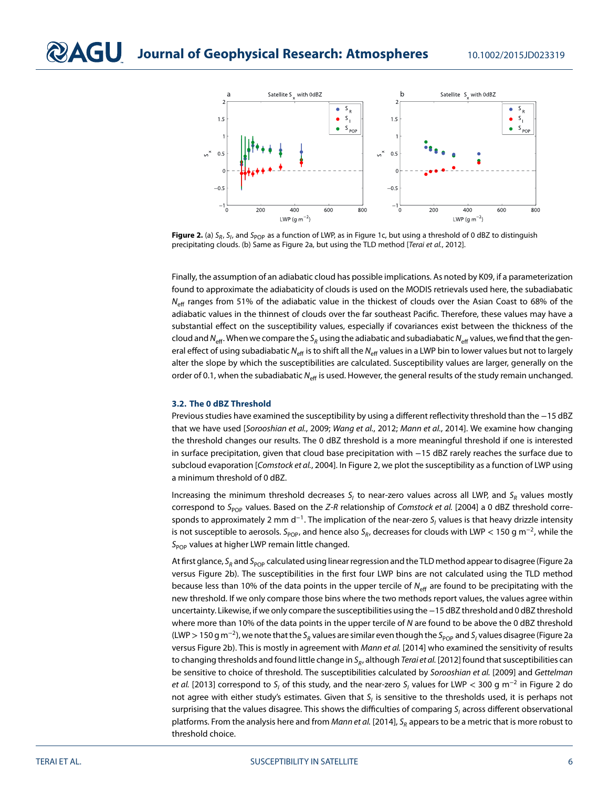

<span id="page-5-0"></span>Figure 2. (a) S<sub>R</sub>, S<sub>I</sub>, and S<sub>POP</sub> as a function of LWP, as in Figure [1c](#page-4-0), but using a threshold of 0 dBZ to distinguish precipitating clouds. (b) Same as Figure [2a](#page-5-0), but using the TLD method [Terai et al., [2012\]](#page-11-6).

Finally, the assumption of an adiabatic cloud has possible implications. As noted by K09, if a parameterization found to approximate the adiabaticity of clouds is used on the MODIS retrievals used here, the subadiabatic  $N_{\text{eff}}$  ranges from 51% of the adiabatic value in the thickest of clouds over the Asian Coast to 68% of the adiabatic values in the thinnest of clouds over the far southeast Pacific. Therefore, these values may have a substantial effect on the susceptibility values, especially if covariances exist between the thickness of the cloud and  $N_{\text{eff}}$ . When we compare the S<sub>R</sub> using the adiabatic and subadiabatic N<sub>eff</sub> values, we find that the general effect of using subadiabatic N<sub>eff</sub> is to shift all the N<sub>eff</sub> values in a LWP bin to lower values but not to largely alter the slope by which the susceptibilities are calculated. Susceptibility values are larger, generally on the order of 0.1, when the subadiabatic  $N_{\text{eff}}$  is used. However, the general results of the study remain unchanged.

#### **3.2. The 0 dBZ Threshold**

Previous studies have examined the susceptibility by using a different reflectivity threshold than the −15 dBZ that we have used [Sorooshian et al., [2009;](#page-11-5) Wang et al., [2012;](#page-11-1) Mann et al., [2014\]](#page-11-7). We examine how changing the threshold changes our results. The 0 dBZ threshold is a more meaningful threshold if one is interested in surface precipitation, given that cloud base precipitation with −15 dBZ rarely reaches the surface due to subcloud evaporation [Comstock et al., [2004\]](#page-10-4). In Figure [2,](#page-5-0) we plot the susceptibility as a function of LWP using a minimum threshold of 0 dBZ.

Increasing the minimum threshold decreases  $S_i$  to near-zero values across all LWP, and  $S_R$  values mostly correspond to S<sub>POP</sub> values. Based on the Z-R relationship of Comstock et al. [\[2004\]](#page-10-4) a 0 dBZ threshold corresponds to approximately 2 mm d<sup>-1</sup>. The implication of the near-zero S<sub>I</sub> values is that heavy drizzle intensity is not susceptible to aerosols. S<sub>POP</sub>, and hence also S<sub>R</sub>, decreases for clouds with LWP < 150 g m<sup>-2</sup>, while the  $S_{POP}$  values at higher LWP remain little changed.

At first glance, S<sub>R</sub> and S<sub>POP</sub> calculated using linear regression and the TLD method appear to disagree (Figure [2a](#page-5-0) versus Figure [2b](#page-5-0)). The susceptibilities in the first four LWP bins are not calculated using the TLD method because less than 10% of the data points in the upper tercile of  $N_{\text{eff}}$  are found to be precipitating with the new threshold. If we only compare those bins where the two methods report values, the values agree within uncertainty. Likewise, if we only compare the susceptibilities using the−15 dBZ threshold and 0 dBZ threshold where more than 10% of the data points in the upper tercile of N are found to be above the 0 dBZ threshold (LWP > 150 g m<sup>-2</sup>), we note that the S<sub>R</sub> values are similar even though the S<sub>POP</sub> and S<sub>I</sub> values disagree (Figure [2a](#page-5-0) versus Figure [2b](#page-5-0)). This is mostly in agreement with Mann et al. [\[2014\]](#page-11-7) who examined the sensitivity of results to changing thresholds and found little change in  $S_R$ , although Terai et al. [\[2012\]](#page-11-6) found that susceptibilities can be sensitive to choice of threshold. The susceptibilities calculated by Sorooshian et al. [\[2009\]](#page-11-5) and Gettelman et al. [\[2013\]](#page-10-14) correspond to S<sub>I</sub> of this study, and the near-zero S<sub>I</sub> values for LWP < 300 g m<sup>−2</sup> in Figure [2](#page-5-0) do not agree with either study's estimates. Given that  $S_i$  is sensitive to the thresholds used, it is perhaps not surprising that the values disagree. This shows the difficulties of comparing  $S<sub>1</sub>$  across different observational platforms. From the analysis here and from Mann et al. [\[2014\]](#page-11-7),  $S_R$  appears to be a metric that is more robust to threshold choice.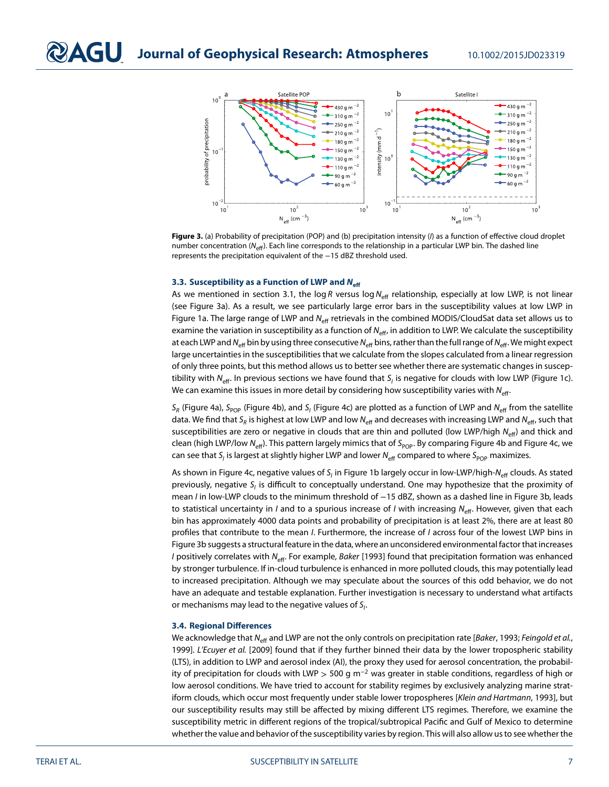

<span id="page-6-0"></span>Figure 3. (a) Probability of precipitation (POP) and (b) precipitation intensity (I) as a function of effective cloud droplet number concentration ( $N_{\text{eff}}$ ). Each line corresponds to the relationship in a particular LWP bin. The dashed line represents the precipitation equivalent of the −15 dBZ threshold used.

#### **3.3. Susceptibility as a Function of LWP and** *N***eff**

As we mentioned in section 3.1, the log R versus log  $N_{\text{eff}}$  relationship, especially at low LWP, is not linear (see Figure [3a](#page-6-0)). As a result, we see particularly large error bars in the susceptibility values at low LWP in Figure [1a](#page-4-0). The large range of LWP and  $N_{\text{eff}}$  retrievals in the combined MODIS/CloudSat data set allows us to examine the variation in susceptibility as a function of  $N_{\text{eff}}$ , in addition to LWP. We calculate the susceptibility at each LWP and  $N_{\text{eff}}$  bin by using three consecutive  $N_{\text{eff}}$  bins, rather than the full range of  $N_{\text{eff}}$ . We might expect large uncertainties in the susceptibilities that we calculate from the slopes calculated from a linear regression of only three points, but this method allows us to better see whether there are systematic changes in suscep-tibility with N<sub>eff</sub>. In previous sections we have found that S<sub>I</sub> is negative for clouds with low LWP (Figure [1c](#page-4-0)). We can examine this issues in more detail by considering how susceptibility varies with  $N_{\text{eff}}$ .

 $S_R$  (Figure [4a](#page-7-0)), S<sub>POP</sub> (Figure [4b](#page-7-0)), and S<sub>I</sub> (Figure [4c](#page-7-0)) are plotted as a function of LWP and N<sub>eff</sub> from the satellite data. We find that S<sub>R</sub> is highest at low LWP and low N<sub>eff</sub> and decreases with increasing LWP and N<sub>eff</sub>, such that susceptibilities are zero or negative in clouds that are thin and polluted (low LWP/high  $N_{\text{eff}}$ ) and thick and clean (high LWP/low N<sub>eff</sub>). This pattern largely mimics that of S<sub>POP</sub>. By comparing Figure [4b](#page-7-0) and Figure [4c](#page-7-0), we can see that S<sub>I</sub> is largest at slightly higher LWP and lower  $N_{\text{eff}}$  compared to where S<sub>POP</sub> maximizes.

As shown in Figure [4c](#page-7-0), negative values of  $S_i$  in Figure [1b](#page-4-0) largely occur in low-LWP/high-N<sub>eff</sub> clouds. As stated previously, negative  $S_i$  is difficult to conceptually understand. One may hypothesize that the proximity of mean I in low-LWP clouds to the minimum threshold of -15 dBZ, shown as a dashed line in Figure [3b](#page-6-0), leads to statistical uncertainty in *I* and to a spurious increase of *I* with increasing  $N_{\text{eff}}$ . However, given that each bin has approximately 4000 data points and probability of precipitation is at least 2%, there are at least 80 profiles that contribute to the mean I. Furthermore, the increase of I across four of the lowest LWP bins in Figure [3b](#page-6-0) suggests a structural feature in the data, where an unconsidered environmental factor that increases *I* positively correlates with N<sub>eff</sub>. For example, Baker [\[1993\]](#page-10-6) found that precipitation formation was enhanced by stronger turbulence. If in-cloud turbulence is enhanced in more polluted clouds, this may potentially lead to increased precipitation. Although we may speculate about the sources of this odd behavior, we do not have an adequate and testable explanation. Further investigation is necessary to understand what artifacts or mechanisms may lead to the negative values of  $S_i$ .

#### **3.4. Regional Differences**

We acknowledge that N<sub>eff</sub> and LWP are not the only controls on precipitation rate [Baker, [1993;](#page-10-6) Feingold et al., [1999\]](#page-10-7). L'Ecuyer et al. [\[2009\]](#page-11-20) found that if they further binned their data by the lower tropospheric stability (LTS), in addition to LWP and aerosol index (AI), the proxy they used for aerosol concentration, the probability of precipitation for clouds with LWP *>* 500 g m<sup>−</sup><sup>2</sup> was greater in stable conditions, regardless of high or low aerosol conditions. We have tried to account for stability regimes by exclusively analyzing marine strat-iform clouds, which occur most frequently under stable lower tropospheres [Klein and Hartmann, [1993\]](#page-11-21), but our susceptibility results may still be affected by mixing different LTS regimes. Therefore, we examine the susceptibility metric in different regions of the tropical/subtropical Pacific and Gulf of Mexico to determine whether the value and behavior of the susceptibility varies by region. This will also allow us to see whether the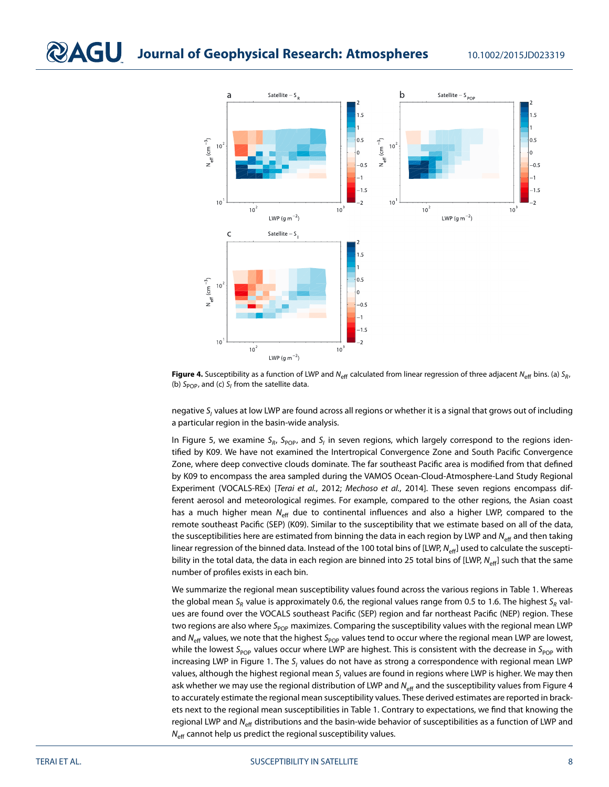

<span id="page-7-0"></span>**Figure 4.** Susceptibility as a function of LWP and N<sub>eff</sub> calculated from linear regression of three adjacent N<sub>eff</sub> bins. (a) S<sub>R</sub>, (b)  $S_{POP}$ , and (c)  $S_I$  from the satellite data.

negative S<sub>I</sub> values at low LWP are found across all regions or whether it is a signal that grows out of including a particular region in the basin-wide analysis.

In Figure [5,](#page-8-0) we examine  $S_R$ ,  $S_{POP}$ , and  $S_l$  in seven regions, which largely correspond to the regions identified by K09. We have not examined the Intertropical Convergence Zone and South Pacific Convergence Zone, where deep convective clouds dominate. The far southeast Pacific area is modified from that defined by K09 to encompass the area sampled during the VAMOS Ocean-Cloud-Atmosphere-Land Study Regional Experiment (VOCALS-REx) [Terai et al., [2012;](#page-11-6) Mechoso et al., [2014\]](#page-11-22). These seven regions encompass different aerosol and meteorological regimes. For example, compared to the other regions, the Asian coast has a much higher mean  $N_{\text{eff}}$  due to continental influences and also a higher LWP, compared to the remote southeast Pacific (SEP) (K09). Similar to the susceptibility that we estimate based on all of the data, the susceptibilities here are estimated from binning the data in each region by LWP and  $N_{\text{eff}}$  and then taking linear regression of the binned data. Instead of the 100 total bins of [LWP,  $N_{\text{eff}}$ ] used to calculate the susceptibility in the total data, the data in each region are binned into 25 total bins of [LWP,  $N_{\text{eff}}$ ] such that the same number of profiles exists in each bin.

We summarize the regional mean susceptibility values found across the various regions in Table [1.](#page-9-0) Whereas the global mean S<sub>R</sub> value is approximately 0.6, the regional values range from 0.5 to 1.6. The highest S<sub>R</sub> values are found over the VOCALS southeast Pacific (SEP) region and far northeast Pacific (NEP) region. These two regions are also where  $S_{POP}$  maximizes. Comparing the susceptibility values with the regional mean LWP and  $N_{\text{eff}}$  values, we note that the highest S<sub>POP</sub> values tend to occur where the regional mean LWP are lowest, while the lowest S<sub>POP</sub> values occur where LWP are highest. This is consistent with the decrease in S<sub>POP</sub> with increasing LWP in Figure [1.](#page-4-0) The  $S<sub>l</sub>$  values do not have as strong a correspondence with regional mean LWP values, although the highest regional mean  $S<sub>l</sub>$  values are found in regions where LWP is higher. We may then ask whether we may use the regional distribution of LWP and  $N_{\text{eff}}$  and the susceptibility values from Figure [4](#page-7-0) to accurately estimate the regional mean susceptibility values. These derived estimates are reported in brackets next to the regional mean susceptibilities in Table [1.](#page-9-0) Contrary to expectations, we find that knowing the regional LWP and N<sub>eff</sub> distributions and the basin-wide behavior of susceptibilities as a function of LWP and  $N<sub>eff</sub>$  cannot help us predict the regional susceptibility values.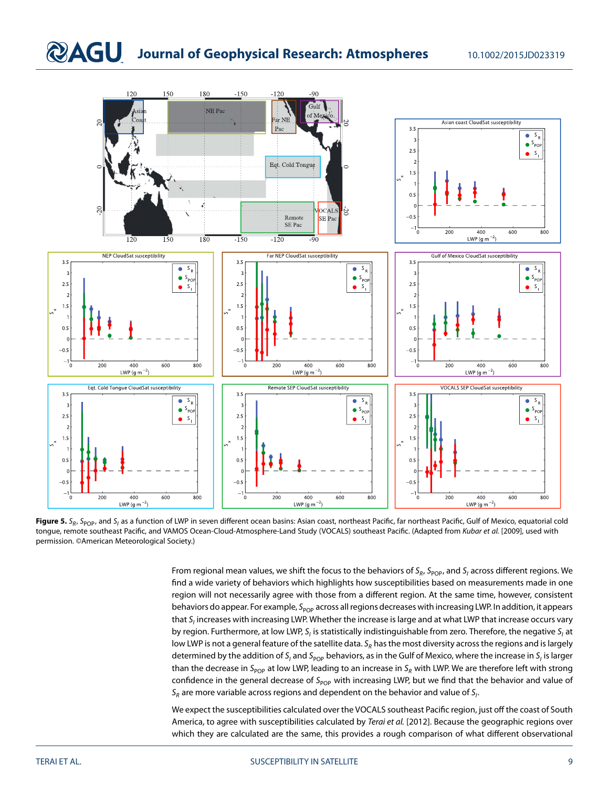## **RAGU Journal of Geophysical Research: Atmospheres** 10.1002/2015JD023319



<span id="page-8-0"></span>Figure 5. S<sub>R</sub>, S<sub>POP</sub>, and S<sub>I</sub> as a function of LWP in seven different ocean basins: Asian coast, northeast Pacific, far northeast Pacific, Gulf of Mexico, equatorial cold tongue, remote southeast Pacific, and VAMOS Ocean-Cloud-Atmosphere-Land Study (VOCALS) southeast Pacific. (Adapted from Kubar et al. [\[2009\]](#page-11-11), used with permission. ©American Meteorological Society.)

From regional mean values, we shift the focus to the behaviors of  $S_R$ ,  $S_{pop}$ , and  $S_I$  across different regions. We find a wide variety of behaviors which highlights how susceptibilities based on measurements made in one region will not necessarily agree with those from a different region. At the same time, however, consistent behaviors do appear. For example,  $S_{POP}$  across all regions decreases with increasing LWP. In addition, it appears that  $S_i$  increases with increasing LWP. Whether the increase is large and at what LWP that increase occurs vary by region. Furthermore, at low LWP,  $S<sub>i</sub>$  is statistically indistinguishable from zero. Therefore, the negative  $S<sub>i</sub>$  at low LWP is not a general feature of the satellite data.  $S_R$  has the most diversity across the regions and is largely determined by the addition of S<sub>I</sub> and S<sub>POP</sub> behaviors, as in the Gulf of Mexico, where the increase in S<sub>I</sub> is larger than the decrease in S<sub>POP</sub> at low LWP, leading to an increase in S<sub>R</sub> with LWP. We are therefore left with strong confidence in the general decrease of  $S_{pop}$  with increasing LWP, but we find that the behavior and value of  $\mathsf{S}_{\mathsf{R}}$  are more variable across regions and dependent on the behavior and value of  $\mathsf{S}_{l}.$ 

We expect the susceptibilities calculated over the VOCALS southeast Pacific region, just off the coast of South America, to agree with susceptibilities calculated by Terai et al. [\[2012\]](#page-11-6). Because the geographic regions over which they are calculated are the same, this provides a rough comparison of what different observational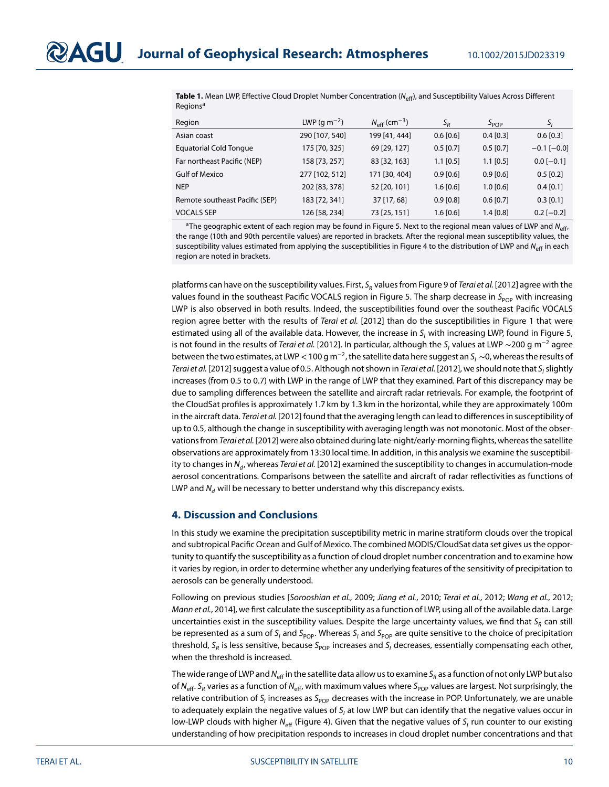<span id="page-9-0"></span>

| <b>Table 1.</b> Mean LWP, Effective Cloud Droplet Number Concentration ( $N_{\text{eff}}$ ), and Susceptibility Values Across Different |
|-----------------------------------------------------------------------------------------------------------------------------------------|
| Regions <sup>a</sup>                                                                                                                    |

| Region                         | LWP (g m <sup>-2</sup> ) | $N_{\rm eff}$ (cm <sup>-3</sup> ) | $S_R$       | $S_{POP}$   | $S_I$             |
|--------------------------------|--------------------------|-----------------------------------|-------------|-------------|-------------------|
| Asian coast                    | 290 [107, 540]           | 199 [41, 444]                     | $0.6$ [0.6] | $0.4$ [0.3] | $0.6$ [0.3]       |
| <b>Equatorial Cold Tonque</b>  | 175 [70, 325]            | 69 [29, 127]                      | $0.5$ [0.7] | $0.5$ [0.7] | $-0.1$ [ $-0.0$ ] |
| Far northeast Pacific (NEP)    | 158 [73, 257]            | 83 [32, 163]                      | $1.1$ [0.5] | $1.1$ [0.5] | $0.0$ [-0.1]      |
| <b>Gulf of Mexico</b>          | 277 [102, 512]           | 171 [30, 404]                     | $0.9$ [0.6] | $0.9$ [0.6] | $0.5$ [0.2]       |
| <b>NEP</b>                     | 202 [83, 378]            | 52 [20, 101]                      | $1.6$ [0.6] | $1.0$ [0.6] | $0.4$ [0.1]       |
| Remote southeast Pacific (SEP) | 183 [72, 341]            | 37 [17, 68]                       | $0.9$ [0.8] | $0.6$ [0.7] | $0.3$ [0.1]       |
| <b>VOCALS SEP</b>              | 126 [58, 234]            | 73 [25, 151]                      | $1.6$ [0.6] | $1.4$ [0.8] | $0.2$ [-0.2]      |

<sup>a</sup>The geographic extent of each region may be found in Figure [5.](#page-8-0) Next to the regional mean values of LWP and N<sub>eff</sub>, the range (10th and 90th percentile values) are reported in brackets. After the regional mean susceptibility values, the susceptibility values estimated from applying the susceptibilities in Figure [4](#page-7-0) to the distribution of LWP and  $N_{\text{eff}}$  in each region are noted in brackets.

platforms can have on the susceptibility values. First,  $S_R$  values from Figure 9 of Terai et al. [\[2012\]](#page-11-6) agree with the values found in the southeast Pacific VOCALS region in Figure [5.](#page-8-0) The sharp decrease in S<sub>POP</sub> with increasing LWP is also observed in both results. Indeed, the susceptibilities found over the southeast Pacific VOCALS region agree better with the results of Terai et al. [\[2012\]](#page-11-6) than do the susceptibilities in Figure [1](#page-4-0) that were estimated using all of the available data. However, the increase in  $S<sub>l</sub>$  with increasing LWP, found in Figure [5,](#page-8-0) is not found in the results of Terai et al. [\[2012\]](#page-11-6). In particular, although the S<sub>I</sub> values at LWP ~200 g m<sup>-2</sup> agree between the two estimates, at LWP < 100 g m<sup>-2</sup>, the satellite data here suggest an S<sub>I</sub> ∼0, whereas the results of Terai et al. [\[2012\]](#page-11-6) suggest a value of 0.5. Although not shown in Terai et al. [2012], we should note that  $S_i$  slightly increases (from 0.5 to 0.7) with LWP in the range of LWP that they examined. Part of this discrepancy may be due to sampling differences between the satellite and aircraft radar retrievals. For example, the footprint of the CloudSat profiles is approximately 1.7 km by 1.3 km in the horizontal, while they are approximately 100m in the aircraft data. Terai et al. [\[2012\]](#page-11-6) found that the averaging length can lead to differences in susceptibility of up to 0.5, although the change in susceptibility with averaging length was not monotonic. Most of the obser-vations from Terai et al. [\[2012\]](#page-11-6) were also obtained during late-night/early-morning flights, whereas the satellite observations are approximately from 13:30 local time. In addition, in this analysis we examine the susceptibility to changes in  $N_d$ , whereas Terai et al. [\[2012\]](#page-11-6) examined the susceptibility to changes in accumulation-mode aerosol concentrations. Comparisons between the satellite and aircraft of radar reflectivities as functions of LWP and  $N_d$  will be necessary to better understand why this discrepancy exists.

#### **4. Discussion and Conclusions**

In this study we examine the precipitation susceptibility metric in marine stratiform clouds over the tropical and subtropical Pacific Ocean and Gulf of Mexico. The combined MODIS/CloudSat data set gives us the opportunity to quantify the susceptibility as a function of cloud droplet number concentration and to examine how it varies by region, in order to determine whether any underlying features of the sensitivity of precipitation to aerosols can be generally understood.

Following on previous studies [Sorooshian et al., [2009;](#page-11-5) Jiang et al., [2010;](#page-11-9) Terai et al., [2012;](#page-11-6) Wang et al., [2012;](#page-11-1) Mann et al., [2014\]](#page-11-7), we first calculate the susceptibility as a function of LWP, using all of the available data. Large uncertainties exist in the susceptibility values. Despite the large uncertainty values, we find that  $S_R$  can still be represented as a sum of S<sub>I</sub> and S<sub>POP</sub>. Whereas S<sub>I</sub> and S<sub>POP</sub> are quite sensitive to the choice of precipitation threshold, S<sub>R</sub> is less sensitive, because S<sub>POP</sub> increases and S<sub>I</sub> decreases, essentially compensating each other, when the threshold is increased.

The wide range of LWP and N<sub>eff</sub> in the satellite data allow us to examine S<sub>R</sub> as a function of not only LWP but also of N<sub>eff</sub>. S<sub>R</sub> varies as a function of N<sub>eff</sub>, with maximum values where S<sub>POP</sub> values are largest. Not surprisingly, the relative contribution of  $S<sub>I</sub>$  increases as  $S<sub>POP</sub>$  decreases with the increase in POP. Unfortunately, we are unable to adequately explain the negative values of  $S<sub>l</sub>$  at low LWP but can identify that the negative values occur in low-LWP clouds with higher N<sub>eff</sub> (Figure [4\)](#page-7-0). Given that the negative values of  $S<sub>l</sub>$  run counter to our existing understanding of how precipitation responds to increases in cloud droplet number concentrations and that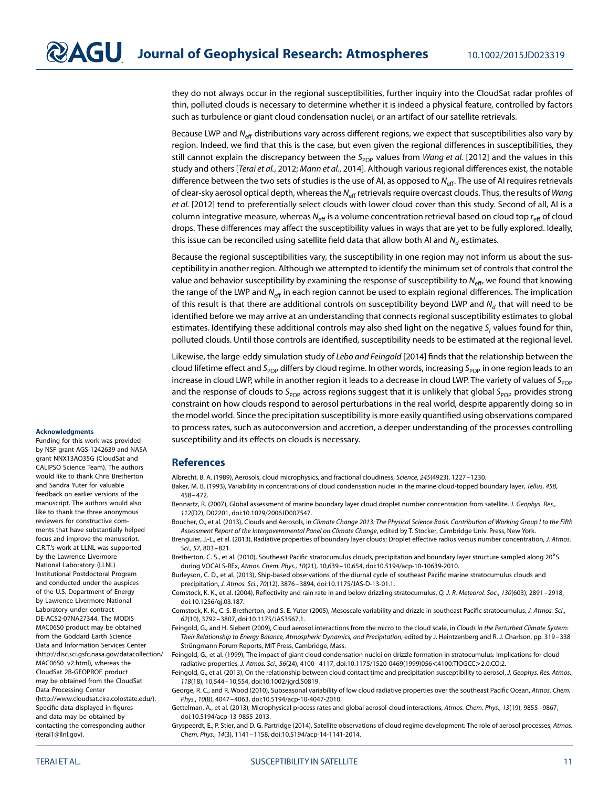they do not always occur in the regional susceptibilities, further inquiry into the CloudSat radar profiles of thin, polluted clouds is necessary to determine whether it is indeed a physical feature, controlled by factors such as turbulence or giant cloud condensation nuclei, or an artifact of our satellite retrievals.

Because LWP and  $N_{\text{eff}}$  distributions vary across different regions, we expect that susceptibilities also vary by region. Indeed, we find that this is the case, but even given the regional differences in susceptibilities, they still cannot explain the discrepancy between the S<sub>POP</sub> values from Wang et al. [\[2012\]](#page-11-1) and the values in this study and others [Terai et al., [2012;](#page-11-6) Mann et al., [2014\]](#page-11-7). Although various regional differences exist, the notable difference between the two sets of studies is the use of AI, as opposed to  $N_{\text{eff}}$ . The use of AI requires retrievals of clear-sky aerosol optical depth, whereas the N<sub>eff</sub> retrievals require overcast clouds. Thus, the results of Wang et al. [\[2012\]](#page-11-1) tend to preferentially select clouds with lower cloud cover than this study. Second of all, AI is a column integrative measure, whereas  $N_{\text{eff}}$  is a volume concentration retrieval based on cloud top  $r_{\text{eff}}$  of cloud drops. These differences may affect the susceptibility values in ways that are yet to be fully explored. Ideally, this issue can be reconciled using satellite field data that allow both AI and  $N_d$  estimates.

Because the regional susceptibilities vary, the susceptibility in one region may not inform us about the susceptibility in another region. Although we attempted to identify the minimum set of controls that control the value and behavior susceptibility by examining the response of susceptibility to  $N_{\text{eff}}$ , we found that knowing the range of the LWP and  $N_{\text{eff}}$  in each region cannot be used to explain regional differences. The implication of this result is that there are additional controls on susceptibility beyond LWP and  $N_d$  that will need to be identified before we may arrive at an understanding that connects regional susceptibility estimates to global estimates. Identifying these additional controls may also shed light on the negative  $S<sub>l</sub>$  values found for thin, polluted clouds. Until those controls are identified, susceptibility needs to be estimated at the regional level.

Likewise, the large-eddy simulation study of Lebo and Feingold [\[2014\]](#page-11-23) finds that the relationship between the cloud lifetime effect and  $S_{POP}$  differs by cloud regime. In other words, increasing  $S_{POP}$  in one region leads to an increase in cloud LWP, while in another region it leads to a decrease in cloud LWP. The variety of values of  $S_{POP}$ and the response of clouds to S<sub>POP</sub> across regions suggest that it is unlikely that global S<sub>POP</sub> provides strong constraint on how clouds respond to aerosol perturbations in the real world, despite apparently doing so in the model world. Since the precipitation susceptibility is more easily quantified using observations compared to process rates, such as autoconversion and accretion, a deeper understanding of the processes controlling susceptibility and its effects on clouds is necessary.

#### **References**

<span id="page-10-6"></span><span id="page-10-3"></span>Albrecht, B. A. (1989), Aerosols, cloud microphysics, and fractional cloudiness, Science, 245(4923), 1227–1230.

- Baker, M. B. (1993), Variability in concentrations of cloud condensation nuclei in the marine cloud-topped boundary layer, Tellus, 45B, 458–472.
- <span id="page-10-8"></span>Bennartz, R. (2007), Global assessment of marine boundary layer cloud droplet number concentration from satellite, J. Geophys. Res., 112(D2), D02201, doi[:10.1029/2006JD007547.](http://dx.doi.org/10.1029/2006JD007547)
- <span id="page-10-0"></span>Boucher, O., et al. (2013), Clouds and Aerosols, in Climate Change 2013: The Physical Science Basis. Contribution of Working Group I to the Fifth Assessment Report of the Intergovernmental Panel on Climate Change, edited by T. Stocker, Cambridge Univ. Press, New York.
- <span id="page-10-13"></span>Brenguier, J.-L., et al. (2013), Radiative properties of boundary layer clouds: Droplet effective radius versus number concentration, J. Atmos. Sci., 57, 803–821.
- <span id="page-10-10"></span>Bretherton, C. S., et al. (2010), Southeast Pacific stratocumulus clouds, precipitation and boundary layer structure sampled along 20∘<sup>S</sup> during VOCALS-REx, Atmos. Chem. Phys., 10(21), 10,639–10,654, doi[:10.5194/acp-10-10639-2010.](http://dx.doi.org/10.5194/acp-10-10639-2010)
- <span id="page-10-9"></span>Burleyson, C. D., et al. (2013), Ship-based observations of the diurnal cycle of southeast Pacific marine stratocumulus clouds and precipitation, J. Atmos. Sci., 70(12), 3876–3894, doi[:10.1175/JAS-D-13-01.1.](http://dx.doi.org/10.1175/JAS-D-13-01.1)
- <span id="page-10-4"></span>Comstock, K. K., et al. (2004), Reflectivity and rain rate in and below drizzling stratocumulus, Q. J. R. Meteorol. Soc., 130(603), 2891-2918, doi[:10.1256/qj.03.187.](http://dx.doi.org/10.1256/qj.03.187)
- <span id="page-10-12"></span>Comstock, K. K., C. S. Bretherton, and S. E. Yuter (2005), Mesoscale variability and drizzle in southeast Pacific stratocumulus, J. Atmos. Sci., 62(10), 3792–3807, doi[:10.1175/JAS3567.1.](http://dx.doi.org/10.1175/JAS3567.1)
- <span id="page-10-5"></span>Feingold, G., and H. Siebert (2009), Cloud aerosol interactions from the micro to the cloud scale, in Clouds in the Perturbed Climate System: Their Relationship to Energy Balance, Atmospheric Dynamics, and Precipitation, edited by J. Heintzenberg and R. J. Charlson, pp. 319–338 Strüngmann Forum Reports, MIT Press, Cambridge, Mass.

<span id="page-10-7"></span>Feingold, G., et al. (1999), The impact of giant cloud condensation nuclei on drizzle formation in stratocumulus: Implications for cloud radiative properties, J. Atmos. Sci., 56(24), 4100–4117, doi[:10.1175/1520-0469\(1999\)056](http://dx.doi.org/10.1175/1520-0469(1999)056<4100:TIOGCC>2.0.CO;2)*<*4100:TIOGCC*>*2.0.CO;2.

<span id="page-10-11"></span>Feingold, G., et al. (2013), On the relationship between cloud contact time and precipitation susceptibility to aerosol, J. Geophys. Res. Atmos., 118(18), 10,544–10,554, doi[:10.1002/jgrd.50819.](http://dx.doi.org/10.1002/jgrd.50819)

<span id="page-10-1"></span>George, R. C., and R. Wood (2010), Subseasonal variability of low cloud radiative properties over the southeast Pacific Ocean, Atmos. Chem. Phys., 10(8), 4047–4063, doi[:10.5194/acp-10-4047-2010.](http://dx.doi.org/10.5194/acp-10-4047-2010)

<span id="page-10-14"></span>Gettelman, A., et al. (2013), Microphysical process rates and global aerosol-cloud interactions, Atmos. Chem. Phys., 13(19), 9855–9867, doi[:10.5194/acp-13-9855-2013.](http://dx.doi.org/10.5194/acp-13-9855-2013)

<span id="page-10-2"></span>Gryspeerdt, E., P. Stier, and D. G. Partridge (2014), Satellite observations of cloud regime development: The role of aerosol processes, Atmos. Chem. Phys., 14(3), 1141–1158, doi[:10.5194/acp-14-1141-2014.](http://dx.doi.org/10.5194/acp-14-1141-2014)

#### **Acknowledgments**

Funding for this work was provided by NSF grant AGS-1242639 and NASA grant NNX13AQ35G (CloudSat and CALIPSO Science Team). The authors would like to thank Chris Bretherton and Sandra Yuter for valuable feedback on earlier versions of the manuscript. The authors would also like to thank the three anonymous reviewers for constructive comments that have substantially helped focus and improve the manuscript. C.R.T.'s work at LLNL was supported by the Lawrence Livermore National Laboratory (LLNL) Institutional Postdoctoral Program and conducted under the auspices of the U.S. Department of Energy by Lawrence Livermore National Laboratory under contract DE-AC52-07NA27344. The MODIS MAC06S0 product may be obtained from the Goddard Earth Science Data and Information Services Center [\(http://disc.sci.gsfc.nasa.gov/datacollection/](http://disc.sci.gsfc.nasa.gov/datacollection/MAC06S0_v2.html) [MAC06S0\\_v2.html\)](http://disc.sci.gsfc.nasa.gov/datacollection/MAC06S0_v2.html), whereas the CloudSat 2B-GEOPROF product may be obtained from the CloudSat Data Processing Center [\(http://www.cloudsat.cira.colostate.edu/\)](http://www.cloudsat.cira.colostate.edu/). Specific data displayed in figures and data may be obtained by contacting the corresponding author [\(terai1@llnl.gov\)](file:terai1@llnl.gov).